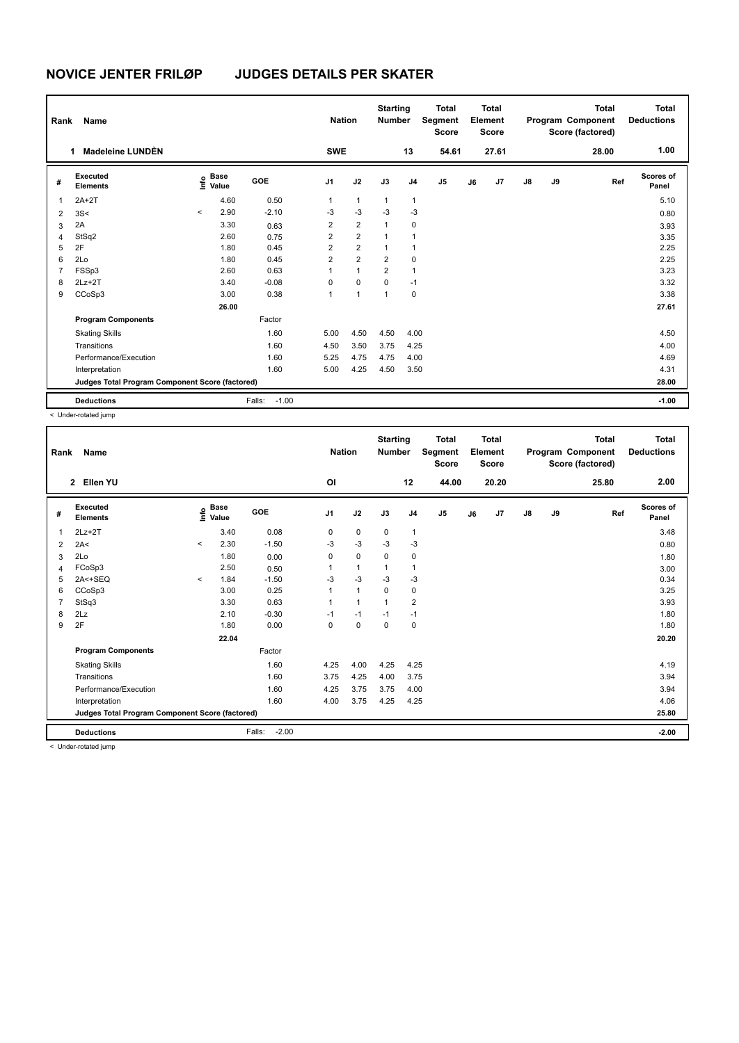| Rank           | Name                                            |         | <b>Nation</b>                               |                   | <b>Starting</b><br><b>Number</b> |                         | <b>Total</b><br>Segment<br><b>Score</b> |                | Total<br>Element<br><b>Score</b> |    |       | <b>Total</b><br>Program Component<br>Score (factored) | <b>Total</b><br><b>Deductions</b> |       |                    |
|----------------|-------------------------------------------------|---------|---------------------------------------------|-------------------|----------------------------------|-------------------------|-----------------------------------------|----------------|----------------------------------|----|-------|-------------------------------------------------------|-----------------------------------|-------|--------------------|
|                | Madeleine LUNDÈN                                |         |                                             |                   | <b>SWE</b>                       |                         |                                         | 13             | 54.61                            |    | 27.61 |                                                       |                                   | 28.00 | 1.00               |
| #              | Executed<br><b>Elements</b>                     |         | <b>Base</b><br>e <sup>Base</sup><br>⊆ Value | GOE               | J1                               | J2                      | J3                                      | J <sub>4</sub> | J <sub>5</sub>                   | J6 | J7    | $\mathsf{J}8$                                         | J9                                | Ref   | Scores of<br>Panel |
| 1              | $2A+2T$                                         |         | 4.60                                        | 0.50              | 1                                | $\mathbf{1}$            | $\mathbf{1}$                            | 1              |                                  |    |       |                                                       |                                   |       | 5.10               |
| 2              | 3S<                                             | $\prec$ | 2.90                                        | $-2.10$           | -3                               | $-3$                    | $-3$                                    | $-3$           |                                  |    |       |                                                       |                                   |       | 0.80               |
| 3              | 2A                                              |         | 3.30                                        | 0.63              | $\overline{2}$                   | $\overline{2}$          | $\mathbf{1}$                            | 0              |                                  |    |       |                                                       |                                   |       | 3.93               |
| 4              | StSq2                                           |         | 2.60                                        | 0.75              | $\overline{2}$                   | $\overline{2}$          | $\mathbf{1}$                            | 1              |                                  |    |       |                                                       |                                   |       | 3.35               |
| 5              | 2F                                              |         | 1.80                                        | 0.45              | $\overline{2}$                   | $\overline{\mathbf{c}}$ | 1                                       | 1              |                                  |    |       |                                                       |                                   |       | 2.25               |
| 6              | 2Lo                                             |         | 1.80                                        | 0.45              | $\overline{2}$                   | $\overline{2}$          | $\overline{2}$                          | 0              |                                  |    |       |                                                       |                                   |       | 2.25               |
| $\overline{7}$ | FSSp3                                           |         | 2.60                                        | 0.63              | 1                                | $\mathbf{1}$            | $\overline{2}$                          | 1              |                                  |    |       |                                                       |                                   |       | 3.23               |
| 8              | $2Lz+2T$                                        |         | 3.40                                        | $-0.08$           | $\Omega$                         | $\Omega$                | $\Omega$                                | $-1$           |                                  |    |       |                                                       |                                   |       | 3.32               |
| 9              | CCoSp3                                          |         | 3.00                                        | 0.38              | 1                                | $\overline{1}$          | 1                                       | 0              |                                  |    |       |                                                       |                                   |       | 3.38               |
|                |                                                 |         | 26.00                                       |                   |                                  |                         |                                         |                |                                  |    |       |                                                       |                                   |       | 27.61              |
|                | <b>Program Components</b>                       |         |                                             | Factor            |                                  |                         |                                         |                |                                  |    |       |                                                       |                                   |       |                    |
|                | <b>Skating Skills</b>                           |         |                                             | 1.60              | 5.00                             | 4.50                    | 4.50                                    | 4.00           |                                  |    |       |                                                       |                                   |       | 4.50               |
|                | Transitions                                     |         |                                             | 1.60              | 4.50                             | 3.50                    | 3.75                                    | 4.25           |                                  |    |       |                                                       |                                   |       | 4.00               |
|                | Performance/Execution                           |         |                                             | 1.60              | 5.25                             | 4.75                    | 4.75                                    | 4.00           |                                  |    |       |                                                       |                                   |       | 4.69               |
|                | Interpretation                                  |         |                                             | 1.60              | 5.00                             | 4.25                    | 4.50                                    | 3.50           |                                  |    |       |                                                       |                                   |       | 4.31               |
|                | Judges Total Program Component Score (factored) |         |                                             |                   |                                  |                         |                                         |                |                                  |    |       |                                                       |                                   |       | 28.00              |
|                | <b>Deductions</b>                               |         |                                             | $-1.00$<br>Falls: |                                  |                         |                                         |                |                                  |    |       |                                                       |                                   |       | $-1.00$            |

< Under-rotated jump

| Rank | Name                                            |         |                                  |                   | <b>Nation</b>  |              | <b>Starting</b><br><b>Number</b> |                | <b>Total</b><br>Segment<br><b>Score</b> |    | <b>Total</b><br>Element<br><b>Score</b> |               |    | <b>Total</b><br>Program Component<br>Score (factored) | <b>Total</b><br><b>Deductions</b> |
|------|-------------------------------------------------|---------|----------------------------------|-------------------|----------------|--------------|----------------------------------|----------------|-----------------------------------------|----|-----------------------------------------|---------------|----|-------------------------------------------------------|-----------------------------------|
|      | Ellen YU<br>$\overline{2}$                      |         |                                  |                   | O <sub>l</sub> |              |                                  | 12             | 44.00                                   |    | 20.20                                   |               |    | 25.80                                                 | 2.00                              |
| #    | Executed<br><b>Elements</b>                     |         | <b>Base</b><br>o Base<br>⊆ Value | GOE               | J <sub>1</sub> | J2           | J3                               | J <sub>4</sub> | J5                                      | J6 | J7                                      | $\mathsf{J}8$ | J9 | Ref                                                   | <b>Scores of</b><br>Panel         |
| 1    | $2Lz+2T$                                        |         | 3.40                             | 0.08              | 0              | 0            | 0                                | $\mathbf{1}$   |                                         |    |                                         |               |    |                                                       | 3.48                              |
| 2    | 2A<                                             | $\prec$ | 2.30                             | $-1.50$           | $-3$           | $-3$         | $-3$                             | $-3$           |                                         |    |                                         |               |    |                                                       | 0.80                              |
| 3    | 2Lo                                             |         | 1.80                             | 0.00              | 0              | $\mathbf 0$  | $\Omega$                         | 0              |                                         |    |                                         |               |    |                                                       | 1.80                              |
| 4    | FCoSp3                                          |         | 2.50                             | 0.50              |                | $\mathbf{1}$ |                                  | $\mathbf{1}$   |                                         |    |                                         |               |    |                                                       | 3.00                              |
| 5    | 2A<+SEQ                                         | $\,<\,$ | 1.84                             | $-1.50$           | $-3$           | $-3$         | $-3$                             | $-3$           |                                         |    |                                         |               |    |                                                       | 0.34                              |
| 6    | CCoSp3                                          |         | 3.00                             | 0.25              |                | $\mathbf{1}$ | $\Omega$                         | 0              |                                         |    |                                         |               |    |                                                       | 3.25                              |
| 7    | StSq3                                           |         | 3.30                             | 0.63              |                | $\mathbf{1}$ | $\overline{1}$                   | $\overline{2}$ |                                         |    |                                         |               |    |                                                       | 3.93                              |
| 8    | 2Lz                                             |         | 2.10                             | $-0.30$           | $-1$           | $-1$         | $-1$                             | $-1$           |                                         |    |                                         |               |    |                                                       | 1.80                              |
| 9    | 2F                                              |         | 1.80                             | 0.00              | $\Omega$       | $\mathbf 0$  | $\Omega$                         | 0              |                                         |    |                                         |               |    |                                                       | 1.80                              |
|      |                                                 |         | 22.04                            |                   |                |              |                                  |                |                                         |    |                                         |               |    |                                                       | 20.20                             |
|      | <b>Program Components</b>                       |         |                                  | Factor            |                |              |                                  |                |                                         |    |                                         |               |    |                                                       |                                   |
|      | <b>Skating Skills</b>                           |         |                                  | 1.60              | 4.25           | 4.00         | 4.25                             | 4.25           |                                         |    |                                         |               |    |                                                       | 4.19                              |
|      | Transitions                                     |         |                                  | 1.60              | 3.75           | 4.25         | 4.00                             | 3.75           |                                         |    |                                         |               |    |                                                       | 3.94                              |
|      | Performance/Execution                           |         |                                  | 1.60              | 4.25           | 3.75         | 3.75                             | 4.00           |                                         |    |                                         |               |    |                                                       | 3.94                              |
|      | Interpretation                                  |         |                                  | 1.60              | 4.00           | 3.75         | 4.25                             | 4.25           |                                         |    |                                         |               |    |                                                       | 4.06                              |
|      | Judges Total Program Component Score (factored) |         |                                  |                   |                |              |                                  |                |                                         |    |                                         |               |    |                                                       | 25.80                             |
|      | <b>Deductions</b>                               |         |                                  | Falls:<br>$-2.00$ |                |              |                                  |                |                                         |    |                                         |               |    |                                                       | $-2.00$                           |
|      | a Under retained irrese                         |         |                                  |                   |                |              |                                  |                |                                         |    |                                         |               |    |                                                       |                                   |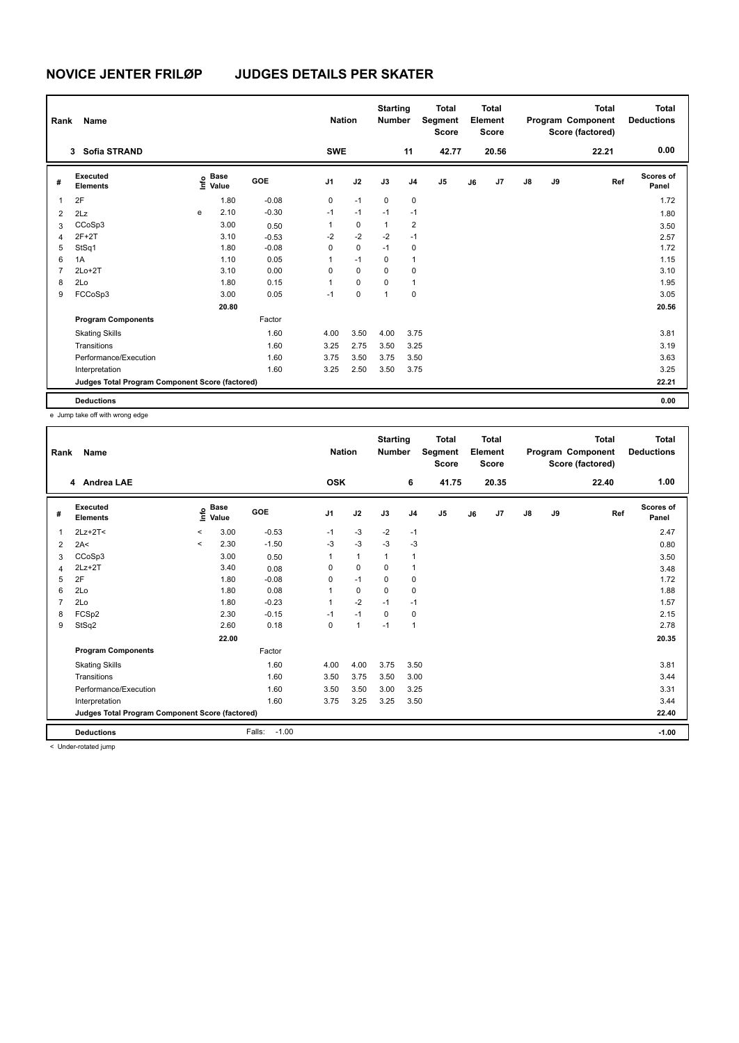| Rank           | Name                                            | <b>Nation</b> |                      | <b>Starting</b><br><b>Number</b> |            | <b>Total</b><br>Segment<br><b>Score</b> |              | <b>Total</b><br>Element<br><b>Score</b> |                |    | <b>Total</b><br>Program Component<br>Score (factored) | Total<br><b>Deductions</b> |    |       |                           |
|----------------|-------------------------------------------------|---------------|----------------------|----------------------------------|------------|-----------------------------------------|--------------|-----------------------------------------|----------------|----|-------------------------------------------------------|----------------------------|----|-------|---------------------------|
|                | <b>Sofia STRAND</b><br>3                        |               |                      |                                  | <b>SWE</b> |                                         |              | 11                                      | 42.77          |    | 20.56                                                 |                            |    | 22.21 | 0.00                      |
| #              | Executed<br><b>Elements</b>                     | lnfo          | <b>Base</b><br>Value | GOE                              | J1         | J2                                      | J3           | J <sub>4</sub>                          | J <sub>5</sub> | J6 | J7                                                    | $\mathsf{J}8$              | J9 | Ref   | <b>Scores of</b><br>Panel |
| 1              | 2F                                              |               | 1.80                 | $-0.08$                          | 0          | $-1$                                    | $\mathbf 0$  | 0                                       |                |    |                                                       |                            |    |       | 1.72                      |
| $\overline{2}$ | 2Lz                                             | e             | 2.10                 | $-0.30$                          | $-1$       | $-1$                                    | $-1$         | $-1$                                    |                |    |                                                       |                            |    |       | 1.80                      |
| 3              | CCoSp3                                          |               | 3.00                 | 0.50                             | 1          | $\pmb{0}$                               | $\mathbf{1}$ | $\overline{\mathbf{c}}$                 |                |    |                                                       |                            |    |       | 3.50                      |
| 4              | $2F+2T$                                         |               | 3.10                 | $-0.53$                          | $-2$       | $-2$                                    | $-2$         | $-1$                                    |                |    |                                                       |                            |    |       | 2.57                      |
| 5              | StSq1                                           |               | 1.80                 | $-0.08$                          | 0          | 0                                       | $-1$         | $\mathbf 0$                             |                |    |                                                       |                            |    |       | 1.72                      |
| 6              | 1A                                              |               | 1.10                 | 0.05                             | 1          | $-1$                                    | $\Omega$     | 1                                       |                |    |                                                       |                            |    |       | 1.15                      |
| $\overline{7}$ | $2Lo+2T$                                        |               | 3.10                 | 0.00                             | 0          | 0                                       | 0            | 0                                       |                |    |                                                       |                            |    |       | 3.10                      |
| 8              | 2Lo                                             |               | 1.80                 | 0.15                             | 1          | 0                                       | 0            | 1                                       |                |    |                                                       |                            |    |       | 1.95                      |
| 9              | FCCoSp3                                         |               | 3.00                 | 0.05                             | $-1$       | 0                                       | $\mathbf{1}$ | 0                                       |                |    |                                                       |                            |    |       | 3.05                      |
|                |                                                 |               | 20.80                |                                  |            |                                         |              |                                         |                |    |                                                       |                            |    |       | 20.56                     |
|                | <b>Program Components</b>                       |               |                      | Factor                           |            |                                         |              |                                         |                |    |                                                       |                            |    |       |                           |
|                | <b>Skating Skills</b>                           |               |                      | 1.60                             | 4.00       | 3.50                                    | 4.00         | 3.75                                    |                |    |                                                       |                            |    |       | 3.81                      |
|                | Transitions                                     |               |                      | 1.60                             | 3.25       | 2.75                                    | 3.50         | 3.25                                    |                |    |                                                       |                            |    |       | 3.19                      |
|                | Performance/Execution                           |               |                      | 1.60                             | 3.75       | 3.50                                    | 3.75         | 3.50                                    |                |    |                                                       |                            |    |       | 3.63                      |
|                | Interpretation                                  |               |                      | 1.60                             | 3.25       | 2.50                                    | 3.50         | 3.75                                    |                |    |                                                       |                            |    |       | 3.25                      |
|                | Judges Total Program Component Score (factored) |               |                      |                                  |            |                                         |              |                                         |                |    |                                                       |                            |    |       | 22.21                     |
|                | <b>Deductions</b>                               |               |                      |                                  |            |                                         |              |                                         |                |    |                                                       |                            |    |       | 0.00                      |

e Jump take off with wrong edge

| Rank | Name                                            |         | <b>Nation</b>        |                   | <b>Starting</b><br><b>Number</b> |              | <b>Total</b><br>Segment<br><b>Score</b> |                | <b>Total</b><br>Element<br><b>Score</b> |    |       | <b>Total</b><br>Program Component<br>Score (factored) | Total<br><b>Deductions</b> |       |                    |
|------|-------------------------------------------------|---------|----------------------|-------------------|----------------------------------|--------------|-----------------------------------------|----------------|-----------------------------------------|----|-------|-------------------------------------------------------|----------------------------|-------|--------------------|
|      | 4 Andrea LAE                                    |         |                      |                   | <b>OSK</b>                       |              |                                         | 6              | 41.75                                   |    | 20.35 |                                                       |                            | 22.40 | 1.00               |
| #    | Executed<br><b>Elements</b>                     | e       | <b>Base</b><br>Value | <b>GOE</b>        | J <sub>1</sub>                   | J2           | J3                                      | J <sub>4</sub> | J5                                      | J6 | J7    | $\mathsf{J}8$                                         | J9                         | Ref   | Scores of<br>Panel |
| 1    | $2Lz+2T<$                                       | $\,<\,$ | 3.00                 | $-0.53$           | $-1$                             | $-3$         | $-2$                                    | $-1$           |                                         |    |       |                                                       |                            |       | 2.47               |
| 2    | 2A<                                             | $\prec$ | 2.30                 | $-1.50$           | $-3$                             | $-3$         | $-3$                                    | $-3$           |                                         |    |       |                                                       |                            |       | 0.80               |
| 3    | CCoSp3                                          |         | 3.00                 | 0.50              |                                  | $\mathbf{1}$ | 1                                       | $\mathbf{1}$   |                                         |    |       |                                                       |                            |       | 3.50               |
| 4    | $2Lz+2T$                                        |         | 3.40                 | 0.08              | $\Omega$                         | 0            | 0                                       | $\mathbf{1}$   |                                         |    |       |                                                       |                            |       | 3.48               |
| 5    | 2F                                              |         | 1.80                 | $-0.08$           | 0                                | $-1$         | $\mathbf 0$                             | 0              |                                         |    |       |                                                       |                            |       | 1.72               |
| 6    | 2Lo                                             |         | 1.80                 | 0.08              |                                  | $\mathbf 0$  | $\Omega$                                | 0              |                                         |    |       |                                                       |                            |       | 1.88               |
|      | 2Lo                                             |         | 1.80                 | $-0.23$           |                                  | $-2$         | $-1$                                    | $-1$           |                                         |    |       |                                                       |                            |       | 1.57               |
| 8    | FCSp2                                           |         | 2.30                 | $-0.15$           | $-1$                             | $-1$         | 0                                       | 0              |                                         |    |       |                                                       |                            |       | 2.15               |
| 9    | StSq2                                           |         | 2.60                 | 0.18              | $\Omega$                         | $\mathbf{1}$ | $-1$                                    | $\mathbf{1}$   |                                         |    |       |                                                       |                            |       | 2.78               |
|      |                                                 |         | 22.00                |                   |                                  |              |                                         |                |                                         |    |       |                                                       |                            |       | 20.35              |
|      | <b>Program Components</b>                       |         |                      | Factor            |                                  |              |                                         |                |                                         |    |       |                                                       |                            |       |                    |
|      | <b>Skating Skills</b>                           |         |                      | 1.60              | 4.00                             | 4.00         | 3.75                                    | 3.50           |                                         |    |       |                                                       |                            |       | 3.81               |
|      | Transitions                                     |         |                      | 1.60              | 3.50                             | 3.75         | 3.50                                    | 3.00           |                                         |    |       |                                                       |                            |       | 3.44               |
|      | Performance/Execution                           |         |                      | 1.60              | 3.50                             | 3.50         | 3.00                                    | 3.25           |                                         |    |       |                                                       |                            |       | 3.31               |
|      | Interpretation                                  |         |                      | 1.60              | 3.75                             | 3.25         | 3.25                                    | 3.50           |                                         |    |       |                                                       |                            |       | 3.44               |
|      | Judges Total Program Component Score (factored) |         |                      |                   |                                  |              |                                         |                |                                         |    |       |                                                       |                            |       | 22.40              |
|      | <b>Deductions</b>                               |         |                      | Falls:<br>$-1.00$ |                                  |              |                                         |                |                                         |    |       |                                                       |                            |       | $-1.00$            |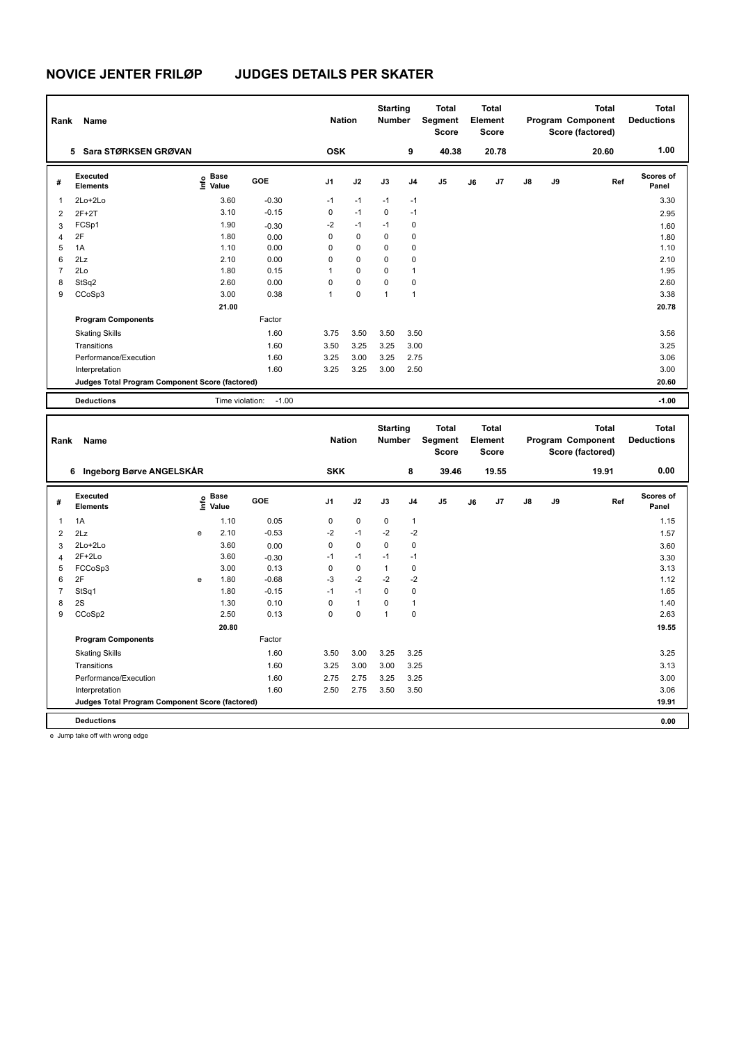| Rank           | Name                                            |                            |            | <b>Nation</b> |              | <b>Starting</b><br><b>Number</b> |                | <b>Total</b><br>Segment<br>Score        |    | <b>Total</b><br>Element<br>Score |    |    | <b>Total</b><br>Program Component<br>Score (factored) | <b>Total</b><br><b>Deductions</b> |
|----------------|-------------------------------------------------|----------------------------|------------|---------------|--------------|----------------------------------|----------------|-----------------------------------------|----|----------------------------------|----|----|-------------------------------------------------------|-----------------------------------|
|                | 5 Sara STØRKSEN GRØVAN                          |                            |            | <b>OSK</b>    |              |                                  | 9              | 40.38                                   |    | 20.78                            |    |    | 20.60                                                 | 1.00                              |
| #              | Executed<br><b>Elements</b>                     | e Base<br>E Value          | <b>GOE</b> | J1            | J2           | J3                               | J <sub>4</sub> | J5                                      | J6 | J7                               | J8 | J9 | Ref                                                   | <b>Scores of</b><br>Panel         |
| 1              | 2Lo+2Lo                                         | 3.60                       | $-0.30$    | $-1$          | $-1$         | $-1$                             | $-1$           |                                         |    |                                  |    |    |                                                       | 3.30                              |
| $\overline{2}$ | $2F+2T$                                         | 3.10                       | $-0.15$    | $\mathbf 0$   | $-1$         | $\mathbf 0$                      | $-1$           |                                         |    |                                  |    |    |                                                       | 2.95                              |
| 3              | FCSp1                                           | 1.90                       | $-0.30$    | $-2$          | $-1$         | $-1$                             | 0              |                                         |    |                                  |    |    |                                                       | 1.60                              |
| $\overline{4}$ | 2F                                              | 1.80                       | 0.00       | $\mathbf 0$   | $\mathbf 0$  | $\mathbf 0$                      | 0              |                                         |    |                                  |    |    |                                                       | 1.80                              |
| 5              | 1A                                              | 1.10                       | 0.00       | $\Omega$      | 0            | $\mathbf 0$                      | 0              |                                         |    |                                  |    |    |                                                       | 1.10                              |
| 6              | 2Lz                                             | 2.10                       | 0.00       | $\Omega$      | $\Omega$     | $\mathbf 0$                      | $\mathbf 0$    |                                         |    |                                  |    |    |                                                       | 2.10                              |
| $\overline{7}$ | 2Lo                                             | 1.80                       | 0.15       | $\mathbf{1}$  | $\mathbf 0$  | $\mathbf 0$                      | $\mathbf{1}$   |                                         |    |                                  |    |    |                                                       | 1.95                              |
| 8              | StSq2                                           | 2.60                       | 0.00       | $\Omega$      | $\mathbf 0$  | $\mathbf 0$                      | $\mathbf 0$    |                                         |    |                                  |    |    |                                                       | 2.60                              |
| 9              | CCoSp3                                          | 3.00                       | 0.38       | $\mathbf{1}$  | $\mathbf 0$  | $\mathbf{1}$                     | $\mathbf{1}$   |                                         |    |                                  |    |    |                                                       | 3.38                              |
|                |                                                 | 21.00                      |            |               |              |                                  |                |                                         |    |                                  |    |    |                                                       | 20.78                             |
|                | <b>Program Components</b>                       |                            | Factor     |               |              |                                  |                |                                         |    |                                  |    |    |                                                       |                                   |
|                | <b>Skating Skills</b>                           |                            | 1.60       | 3.75          | 3.50         | 3.50                             | 3.50           |                                         |    |                                  |    |    |                                                       | 3.56                              |
|                | Transitions                                     |                            | 1.60       | 3.50          | 3.25         | 3.25                             | 3.00           |                                         |    |                                  |    |    |                                                       | 3.25                              |
|                | Performance/Execution                           |                            | 1.60       | 3.25          | 3.00         | 3.25                             | 2.75           |                                         |    |                                  |    |    |                                                       | 3.06                              |
|                | Interpretation                                  |                            | 1.60       | 3.25          | 3.25         | 3.00                             | 2.50           |                                         |    |                                  |    |    |                                                       | 3.00                              |
|                | Judges Total Program Component Score (factored) |                            |            |               |              |                                  |                |                                         |    |                                  |    |    |                                                       | 20.60                             |
|                | <b>Deductions</b>                               | Time violation:            | $-1.00$    |               |              |                                  |                |                                         |    |                                  |    |    |                                                       | $-1.00$                           |
|                |                                                 |                            |            |               |              |                                  |                |                                         |    |                                  |    |    |                                                       |                                   |
| Rank           | Name                                            |                            |            | <b>Nation</b> |              | <b>Starting</b><br><b>Number</b> |                | <b>Total</b><br>Segment<br><b>Score</b> |    | <b>Total</b><br>Element<br>Score |    |    | <b>Total</b><br>Program Component<br>Score (factored) | <b>Total</b><br><b>Deductions</b> |
|                | 6 Ingeborg Børve ANGELSKÅR                      |                            |            | <b>SKK</b>    |              |                                  | 8              | 39.46                                   |    | 19.55                            |    |    | 19.91                                                 | 0.00                              |
| #              | <b>Executed</b><br><b>Elements</b>              | <b>Base</b><br>۴ů<br>Value | GOE        | J1            | J2           | J3                               | J4             | J5                                      | J6 | J7                               | J8 | J9 | Ref                                                   | <b>Scores of</b><br>Panel         |
| 1              | 1A                                              | 1.10                       | 0.05       | 0             | $\pmb{0}$    | 0                                | 1              |                                         |    |                                  |    |    |                                                       | 1.15                              |
| $\overline{2}$ | 2Lz                                             | 2.10<br>e                  | $-0.53$    | $-2$          | $-1$         | $-2$                             | $-2$           |                                         |    |                                  |    |    |                                                       | 1.57                              |
| 3              | 2Lo+2Lo                                         | 3.60                       | 0.00       | $\Omega$      | $\Omega$     | $\mathbf{0}$                     | $\mathbf 0$    |                                         |    |                                  |    |    |                                                       | 3.60                              |
| $\overline{4}$ | $2F+2Lo$                                        | 3.60                       | $-0.30$    | $-1$          | $-1$         | $-1$                             | $-1$           |                                         |    |                                  |    |    |                                                       | 3.30                              |
| 5              | FCCoSp3                                         | 3.00                       | 0.13       | $\mathbf 0$   | $\pmb{0}$    | $\mathbf{1}$                     | $\mathsf 0$    |                                         |    |                                  |    |    |                                                       | 3.13                              |
| 6              | 2F                                              | 1.80<br>e                  | $-0.68$    | -3            | $-2$         | $-2$                             | $-2$           |                                         |    |                                  |    |    |                                                       | 1.12                              |
| $\overline{7}$ | StSq1                                           | 1.80                       | $-0.15$    | $-1$          | $-1$         | $\mathbf 0$                      | $\mathsf 0$    |                                         |    |                                  |    |    |                                                       | 1.65                              |
| 8              | 2S                                              | 1.30                       | 0.10       | $\mathbf 0$   | $\mathbf{1}$ | $\mathbf 0$                      | 1              |                                         |    |                                  |    |    |                                                       | 1.40                              |
| 9              | CCoSp2                                          | 2.50                       | 0.13       | $\Omega$      | $\mathbf 0$  | $\mathbf{1}$                     | 0              |                                         |    |                                  |    |    |                                                       | 2.63                              |
|                |                                                 | 20.80                      |            |               |              |                                  |                |                                         |    |                                  |    |    |                                                       | 19.55                             |

Skating Skills 3.50 3.00 3.25 3.25 1.60 3.25

Transitions 1.60 3.25 3.00 3.00 3.25 3.13 Performance/Execution 1.60 2.75 2.75 3.25 3.25 3.00

**Judges Total Program Component Score (factored) 19.91**

Factor

Interpretation 1.60 2.50 2.75 3.50 3.50

**Deductions 0.00**

e Jump take off with wrong edge

**Program Components**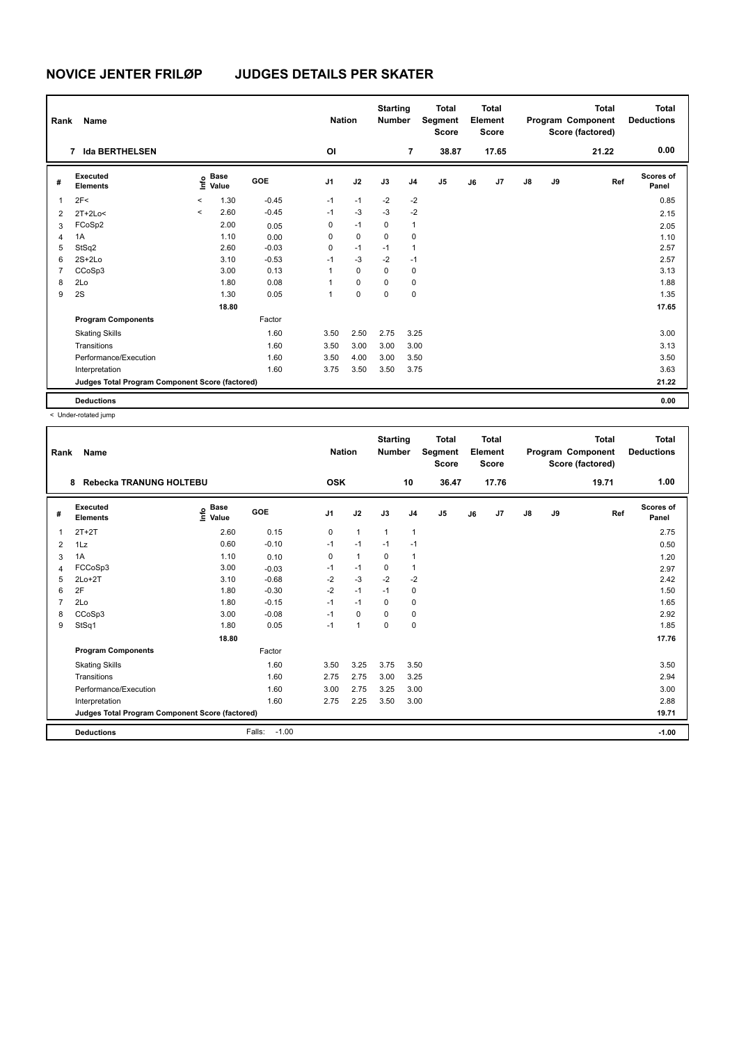| Rank           | Name                                            | <b>Nation</b> |                      | <b>Starting</b><br><b>Number</b> |                | <b>Total</b><br>Segment<br><b>Score</b> |             | <b>Total</b><br>Element<br><b>Score</b> |       |    | <b>Total</b><br>Program Component<br>Score (factored) | <b>Total</b><br><b>Deductions</b> |    |       |                    |
|----------------|-------------------------------------------------|---------------|----------------------|----------------------------------|----------------|-----------------------------------------|-------------|-----------------------------------------|-------|----|-------------------------------------------------------|-----------------------------------|----|-------|--------------------|
|                | <b>Ida BERTHELSEN</b><br>$\overline{7}$         |               |                      |                                  | O <sub>l</sub> |                                         |             | $\overline{7}$                          | 38.87 |    | 17.65                                                 |                                   |    | 21.22 | 0.00               |
| #              | Executed<br><b>Elements</b>                     | ۴             | <b>Base</b><br>Value | GOE                              | J <sub>1</sub> | J2                                      | J3          | J <sub>4</sub>                          | J5    | J6 | J7                                                    | $\mathsf{J}8$                     | J9 | Ref   | Scores of<br>Panel |
| $\overline{1}$ | 2F<                                             | $\,<$         | 1.30                 | $-0.45$                          | $-1$           | $-1$                                    | $-2$        | $-2$                                    |       |    |                                                       |                                   |    |       | 0.85               |
| $\overline{2}$ | $2T+2Lo<$                                       | $\prec$       | 2.60                 | $-0.45$                          | $-1$           | $-3$                                    | $-3$        | $-2$                                    |       |    |                                                       |                                   |    |       | 2.15               |
| 3              | FCoSp2                                          |               | 2.00                 | 0.05                             | 0              | $-1$                                    | 0           | 1                                       |       |    |                                                       |                                   |    |       | 2.05               |
| 4              | 1A                                              |               | 1.10                 | 0.00                             | 0              | $\mathbf 0$                             | $\mathbf 0$ | 0                                       |       |    |                                                       |                                   |    |       | 1.10               |
| 5              | StSq2                                           |               | 2.60                 | $-0.03$                          | 0              | $-1$                                    | $-1$        | $\mathbf{1}$                            |       |    |                                                       |                                   |    |       | 2.57               |
| 6              | $2S+2Lo$                                        |               | 3.10                 | $-0.53$                          | $-1$           | $-3$                                    | $-2$        | $-1$                                    |       |    |                                                       |                                   |    |       | 2.57               |
| $\overline{7}$ | CCoSp3                                          |               | 3.00                 | 0.13                             | 1              | $\mathbf 0$                             | $\mathbf 0$ | $\mathbf 0$                             |       |    |                                                       |                                   |    |       | 3.13               |
| 8              | 2Lo                                             |               | 1.80                 | 0.08                             | 1              | 0                                       | 0           | 0                                       |       |    |                                                       |                                   |    |       | 1.88               |
| 9              | 2S                                              |               | 1.30                 | 0.05                             | 1              | 0                                       | $\mathbf 0$ | 0                                       |       |    |                                                       |                                   |    |       | 1.35               |
|                |                                                 |               | 18.80                |                                  |                |                                         |             |                                         |       |    |                                                       |                                   |    |       | 17.65              |
|                | <b>Program Components</b>                       |               |                      | Factor                           |                |                                         |             |                                         |       |    |                                                       |                                   |    |       |                    |
|                | <b>Skating Skills</b>                           |               |                      | 1.60                             | 3.50           | 2.50                                    | 2.75        | 3.25                                    |       |    |                                                       |                                   |    |       | 3.00               |
|                | Transitions                                     |               |                      | 1.60                             | 3.50           | 3.00                                    | 3.00        | 3.00                                    |       |    |                                                       |                                   |    |       | 3.13               |
|                | Performance/Execution                           |               |                      | 1.60                             | 3.50           | 4.00                                    | 3.00        | 3.50                                    |       |    |                                                       |                                   |    |       | 3.50               |
|                | Interpretation                                  |               |                      | 1.60                             | 3.75           | 3.50                                    | 3.50        | 3.75                                    |       |    |                                                       |                                   |    |       | 3.63               |
|                | Judges Total Program Component Score (factored) |               |                      |                                  |                |                                         |             |                                         |       |    |                                                       |                                   |    |       | 21.22              |
|                | <b>Deductions</b>                               |               |                      |                                  |                |                                         |             |                                         |       |    |                                                       |                                   |    |       | 0.00               |

| Rank           | Name                                            |                                           |                   | <b>Nation</b>  |              | <b>Starting</b><br><b>Number</b> |                | <b>Total</b><br>Segment<br><b>Score</b> |    | Total<br>Element<br><b>Score</b> |               |    | <b>Total</b><br>Program Component<br>Score (factored) | <b>Total</b><br><b>Deductions</b> |
|----------------|-------------------------------------------------|-------------------------------------------|-------------------|----------------|--------------|----------------------------------|----------------|-----------------------------------------|----|----------------------------------|---------------|----|-------------------------------------------------------|-----------------------------------|
|                | Rebecka TRANUNG HOLTEBU<br>8                    |                                           |                   | <b>OSK</b>     |              |                                  | 10             | 36.47                                   |    | 17.76                            |               |    | 19.71                                                 | 1.00                              |
| #              | Executed<br><b>Elements</b>                     | $\frac{e}{E}$ Base<br>$\frac{e}{E}$ Value | GOE               | J <sub>1</sub> | J2           | J3                               | J <sub>4</sub> | J <sub>5</sub>                          | J6 | J7                               | $\mathsf{J}8$ | J9 | Ref                                                   | Scores of<br>Panel                |
| 1              | $2T+2T$                                         | 2.60                                      | 0.15              | 0              | $\mathbf{1}$ | 1                                | 1              |                                         |    |                                  |               |    |                                                       | 2.75                              |
| 2              | 1Lz                                             | 0.60                                      | $-0.10$           | $-1$           | $-1$         | $-1$                             | $-1$           |                                         |    |                                  |               |    |                                                       | 0.50                              |
| 3              | 1A                                              | 1.10                                      | 0.10              | 0              | $\mathbf{1}$ | $\Omega$                         | 1              |                                         |    |                                  |               |    |                                                       | 1.20                              |
| 4              | FCCoSp3                                         | 3.00                                      | $-0.03$           | $-1$           | $-1$         | 0                                | $\mathbf{1}$   |                                         |    |                                  |               |    |                                                       | 2.97                              |
| 5              | $2Lo+2T$                                        | 3.10                                      | $-0.68$           | $-2$           | $-3$         | $-2$                             | $-2$           |                                         |    |                                  |               |    |                                                       | 2.42                              |
| 6              | 2F                                              | 1.80                                      | $-0.30$           | $-2$           | $-1$         | $-1$                             | 0              |                                         |    |                                  |               |    |                                                       | 1.50                              |
| $\overline{7}$ | 2Lo                                             | 1.80                                      | $-0.15$           | $-1$           | $-1$         | $\mathbf 0$                      | $\mathbf 0$    |                                         |    |                                  |               |    |                                                       | 1.65                              |
| 8              | CCoSp3                                          | 3.00                                      | $-0.08$           | $-1$           | 0            | $\Omega$                         | 0              |                                         |    |                                  |               |    |                                                       | 2.92                              |
| 9              | StSq1                                           | 1.80                                      | 0.05              | $-1$           | $\mathbf{1}$ | $\Omega$                         | $\mathbf 0$    |                                         |    |                                  |               |    |                                                       | 1.85                              |
|                |                                                 | 18.80                                     |                   |                |              |                                  |                |                                         |    |                                  |               |    |                                                       | 17.76                             |
|                | <b>Program Components</b>                       |                                           | Factor            |                |              |                                  |                |                                         |    |                                  |               |    |                                                       |                                   |
|                | <b>Skating Skills</b>                           |                                           | 1.60              | 3.50           | 3.25         | 3.75                             | 3.50           |                                         |    |                                  |               |    |                                                       | 3.50                              |
|                | Transitions                                     |                                           | 1.60              | 2.75           | 2.75         | 3.00                             | 3.25           |                                         |    |                                  |               |    |                                                       | 2.94                              |
|                | Performance/Execution                           |                                           | 1.60              | 3.00           | 2.75         | 3.25                             | 3.00           |                                         |    |                                  |               |    |                                                       | 3.00                              |
|                | Interpretation                                  |                                           | 1.60              | 2.75           | 2.25         | 3.50                             | 3.00           |                                         |    |                                  |               |    |                                                       | 2.88                              |
|                | Judges Total Program Component Score (factored) |                                           |                   |                |              |                                  |                |                                         |    |                                  |               |    |                                                       | 19.71                             |
|                | <b>Deductions</b>                               |                                           | $-1.00$<br>Falls: |                |              |                                  |                |                                         |    |                                  |               |    |                                                       | $-1.00$                           |
|                |                                                 |                                           |                   |                |              |                                  |                |                                         |    |                                  |               |    |                                                       |                                   |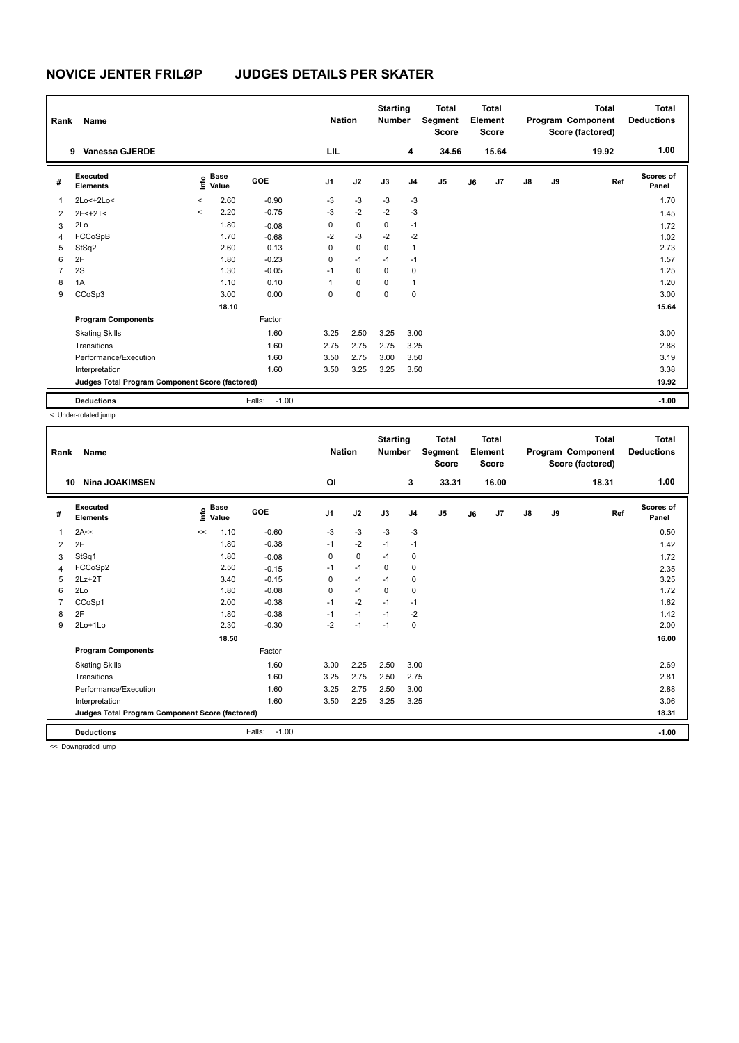| Rank           | Name                                            |                          |                                             |                   | <b>Nation</b> |             | <b>Starting</b><br><b>Number</b> |      | <b>Total</b><br>Segment<br><b>Score</b> |    | Total<br>Element<br><b>Score</b> |               |    | <b>Total</b><br>Program Component<br>Score (factored) | <b>Total</b><br><b>Deductions</b> |
|----------------|-------------------------------------------------|--------------------------|---------------------------------------------|-------------------|---------------|-------------|----------------------------------|------|-----------------------------------------|----|----------------------------------|---------------|----|-------------------------------------------------------|-----------------------------------|
|                | <b>Vanessa GJERDE</b><br>9                      |                          |                                             |                   | LIL           |             |                                  | 4    | 34.56                                   |    | 15.64                            |               |    | 19.92                                                 | 1.00                              |
| #              | Executed<br><b>Elements</b>                     |                          | <b>Base</b><br>e <sup>Base</sup><br>⊆ Value | GOE               | J1            | J2          | J3                               | J4   | J <sub>5</sub>                          | J6 | J7                               | $\mathsf{J}8$ | J9 | Ref                                                   | Scores of<br>Panel                |
| 1              | 2Lo<+2Lo<                                       | $\overline{\phantom{a}}$ | 2.60                                        | $-0.90$           | $-3$          | $-3$        | $-3$                             | $-3$ |                                         |    |                                  |               |    |                                                       | 1.70                              |
| 2              | $2F<+2T<$                                       | $\,<\,$                  | 2.20                                        | $-0.75$           | $-3$          | $-2$        | $-2$                             | $-3$ |                                         |    |                                  |               |    |                                                       | 1.45                              |
| 3              | 2Lo                                             |                          | 1.80                                        | $-0.08$           | 0             | 0           | 0                                | $-1$ |                                         |    |                                  |               |    |                                                       | 1.72                              |
| 4              | FCCoSpB                                         |                          | 1.70                                        | $-0.68$           | $-2$          | $-3$        | $-2$                             | $-2$ |                                         |    |                                  |               |    |                                                       | 1.02                              |
| 5              | StSq2                                           |                          | 2.60                                        | 0.13              | 0             | 0           | 0                                | 1    |                                         |    |                                  |               |    |                                                       | 2.73                              |
| 6              | 2F                                              |                          | 1.80                                        | $-0.23$           | 0             | $-1$        | $-1$                             | $-1$ |                                         |    |                                  |               |    |                                                       | 1.57                              |
| $\overline{7}$ | 2S                                              |                          | 1.30                                        | $-0.05$           | $-1$          | $\mathbf 0$ | 0                                | 0    |                                         |    |                                  |               |    |                                                       | 1.25                              |
| 8              | 1A                                              |                          | 1.10                                        | 0.10              | 1             | 0           | 0                                | 1    |                                         |    |                                  |               |    |                                                       | 1.20                              |
| 9              | CCoSp3                                          |                          | 3.00                                        | 0.00              | 0             | 0           | 0                                | 0    |                                         |    |                                  |               |    |                                                       | 3.00                              |
|                |                                                 |                          | 18.10                                       |                   |               |             |                                  |      |                                         |    |                                  |               |    |                                                       | 15.64                             |
|                | <b>Program Components</b>                       |                          |                                             | Factor            |               |             |                                  |      |                                         |    |                                  |               |    |                                                       |                                   |
|                | <b>Skating Skills</b>                           |                          |                                             | 1.60              | 3.25          | 2.50        | 3.25                             | 3.00 |                                         |    |                                  |               |    |                                                       | 3.00                              |
|                | Transitions                                     |                          |                                             | 1.60              | 2.75          | 2.75        | 2.75                             | 3.25 |                                         |    |                                  |               |    |                                                       | 2.88                              |
|                | Performance/Execution                           |                          |                                             | 1.60              | 3.50          | 2.75        | 3.00                             | 3.50 |                                         |    |                                  |               |    |                                                       | 3.19                              |
|                | Interpretation                                  |                          |                                             | 1.60              | 3.50          | 3.25        | 3.25                             | 3.50 |                                         |    |                                  |               |    |                                                       | 3.38                              |
|                | Judges Total Program Component Score (factored) |                          |                                             |                   |               |             |                                  |      |                                         |    |                                  |               |    |                                                       | 19.92                             |
|                | <b>Deductions</b>                               |                          |                                             | $-1.00$<br>Falls: |               |             |                                  |      |                                         |    |                                  |               |    |                                                       | $-1.00$                           |

< Under-rotated jump

| Rank | Name                                            |                              |                   | <b>Nation</b>  |             | <b>Starting</b><br><b>Number</b> |                | <b>Total</b><br>Segment<br><b>Score</b> |    | <b>Total</b><br>Element<br><b>Score</b> |               |    | <b>Total</b><br>Program Component<br>Score (factored) | <b>Total</b><br><b>Deductions</b> |
|------|-------------------------------------------------|------------------------------|-------------------|----------------|-------------|----------------------------------|----------------|-----------------------------------------|----|-----------------------------------------|---------------|----|-------------------------------------------------------|-----------------------------------|
| 10   | <b>Nina JOAKIMSEN</b>                           |                              |                   | O <sub>l</sub> |             |                                  | 3              | 33.31                                   |    | 16.00                                   |               |    | 18.31                                                 | 1.00                              |
| #    | Executed<br><b>Elements</b>                     | <b>Base</b><br>١nfo<br>Value | <b>GOE</b>        | J <sub>1</sub> | J2          | J3                               | J <sub>4</sub> | J5                                      | J6 | J7                                      | $\mathsf{J}8$ | J9 | Ref                                                   | <b>Scores of</b><br>Panel         |
| 1    | 2A<<                                            | 1.10<br><<                   | $-0.60$           | $-3$           | $-3$        | $-3$                             | $-3$           |                                         |    |                                         |               |    |                                                       | 0.50                              |
| 2    | 2F                                              | 1.80                         | $-0.38$           | $-1$           | $-2$        | $-1$                             | $-1$           |                                         |    |                                         |               |    |                                                       | 1.42                              |
| 3    | StSq1                                           | 1.80                         | $-0.08$           | 0              | $\mathbf 0$ | $-1$                             | 0              |                                         |    |                                         |               |    |                                                       | 1.72                              |
| 4    | FCCoSp2                                         | 2.50                         | $-0.15$           | $-1$           | $-1$        | 0                                | $\mathbf 0$    |                                         |    |                                         |               |    |                                                       | 2.35                              |
| 5    | $2Lz + 2T$                                      | 3.40                         | $-0.15$           | 0              | $-1$        | $-1$                             | 0              |                                         |    |                                         |               |    |                                                       | 3.25                              |
| 6    | 2Lo                                             | 1.80                         | $-0.08$           | 0              | $-1$        | $\Omega$                         | 0              |                                         |    |                                         |               |    |                                                       | 1.72                              |
| 7    | CCoSp1                                          | 2.00                         | $-0.38$           | $-1$           | $-2$        | $-1$                             | $-1$           |                                         |    |                                         |               |    |                                                       | 1.62                              |
| 8    | 2F                                              | 1.80                         | $-0.38$           | $-1$           | $-1$        | $-1$                             | $-2$           |                                         |    |                                         |               |    |                                                       | 1.42                              |
| 9    | 2Lo+1Lo                                         | 2.30                         | $-0.30$           | $-2$           | $-1$        | $-1$                             | 0              |                                         |    |                                         |               |    |                                                       | 2.00                              |
|      |                                                 | 18.50                        |                   |                |             |                                  |                |                                         |    |                                         |               |    |                                                       | 16.00                             |
|      | <b>Program Components</b>                       |                              | Factor            |                |             |                                  |                |                                         |    |                                         |               |    |                                                       |                                   |
|      | <b>Skating Skills</b>                           |                              | 1.60              | 3.00           | 2.25        | 2.50                             | 3.00           |                                         |    |                                         |               |    |                                                       | 2.69                              |
|      | Transitions                                     |                              | 1.60              | 3.25           | 2.75        | 2.50                             | 2.75           |                                         |    |                                         |               |    |                                                       | 2.81                              |
|      | Performance/Execution                           |                              | 1.60              | 3.25           | 2.75        | 2.50                             | 3.00           |                                         |    |                                         |               |    |                                                       | 2.88                              |
|      | Interpretation                                  |                              | 1.60              | 3.50           | 2.25        | 3.25                             | 3.25           |                                         |    |                                         |               |    |                                                       | 3.06                              |
|      | Judges Total Program Component Score (factored) |                              |                   |                |             |                                  |                |                                         |    |                                         |               |    |                                                       | 18.31                             |
|      | <b>Deductions</b>                               |                              | $-1.00$<br>Falls: |                |             |                                  |                |                                         |    |                                         |               |    |                                                       | $-1.00$                           |
|      | <b>22 Doumanaded issues</b>                     |                              |                   |                |             |                                  |                |                                         |    |                                         |               |    |                                                       |                                   |

<< Downgraded jump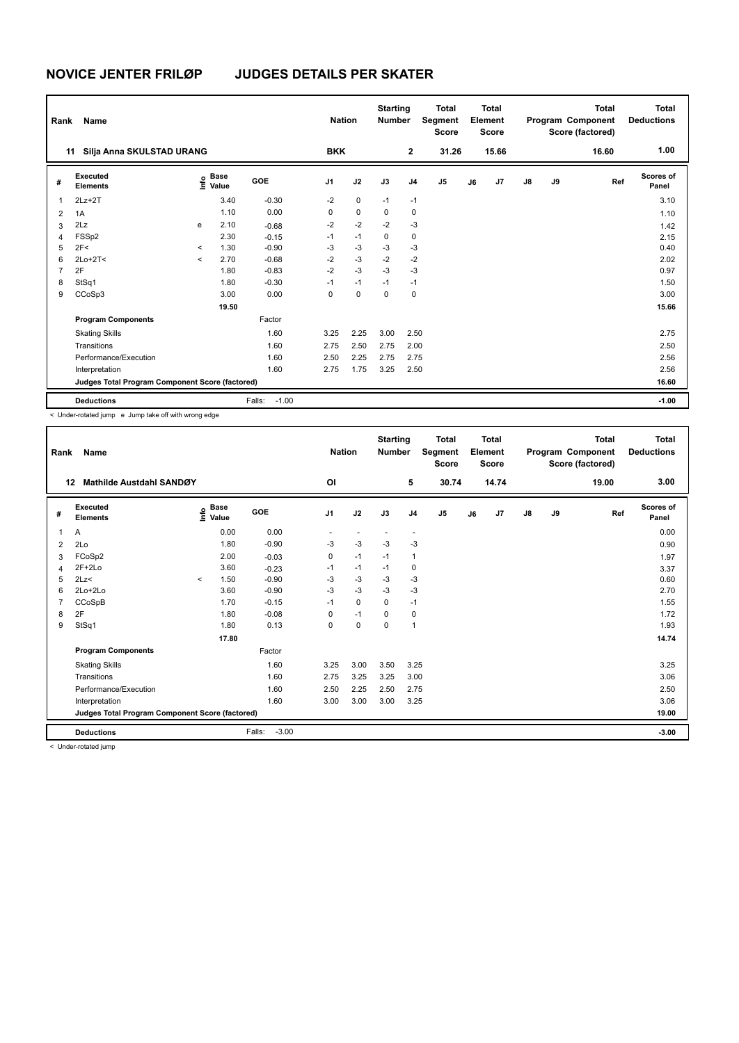| Rank           | Name                                            |           | <b>Nation</b>                               |                   | <b>Starting</b><br><b>Number</b> |             | <b>Total</b><br>Segment<br><b>Score</b> |                | <b>Total</b><br>Element<br><b>Score</b> |    |       | <b>Total</b><br>Program Component<br>Score (factored) | Total<br><b>Deductions</b> |       |                    |
|----------------|-------------------------------------------------|-----------|---------------------------------------------|-------------------|----------------------------------|-------------|-----------------------------------------|----------------|-----------------------------------------|----|-------|-------------------------------------------------------|----------------------------|-------|--------------------|
| 11             | Silja Anna SKULSTAD URANG                       |           |                                             |                   | <b>BKK</b>                       |             |                                         | $\overline{2}$ | 31.26                                   |    | 15.66 |                                                       |                            | 16.60 | 1.00               |
| #              | <b>Executed</b><br><b>Elements</b>              |           | <b>Base</b><br>e <sup>Base</sup><br>⊆ Value | GOE               | J1                               | J2          | J3                                      | J <sub>4</sub> | J <sub>5</sub>                          | J6 | J7    | $\mathsf{J}8$                                         | J9                         | Ref   | Scores of<br>Panel |
| 1              | $2Lz+2T$                                        |           | 3.40                                        | $-0.30$           | $-2$                             | $\mathbf 0$ | $-1$                                    | $-1$           |                                         |    |       |                                                       |                            |       | 3.10               |
| 2              | 1A                                              |           | 1.10                                        | 0.00              | 0                                | $\mathbf 0$ | 0                                       | 0              |                                         |    |       |                                                       |                            |       | 1.10               |
| 3              | 2Lz                                             | e         | 2.10                                        | $-0.68$           | $-2$                             | $-2$        | $-2$                                    | $-3$           |                                         |    |       |                                                       |                            |       | 1.42               |
| 4              | FSSp2                                           |           | 2.30                                        | $-0.15$           | $-1$                             | $-1$        | 0                                       | $\mathbf 0$    |                                         |    |       |                                                       |                            |       | 2.15               |
| 5              | 2F<                                             | $\prec$   | 1.30                                        | $-0.90$           | $-3$                             | $-3$        | $-3$                                    | $-3$           |                                         |    |       |                                                       |                            |       | 0.40               |
| 6              | $2Lo+2T<$                                       | $\hat{~}$ | 2.70                                        | $-0.68$           | $-2$                             | $-3$        | $-2$                                    | $-2$           |                                         |    |       |                                                       |                            |       | 2.02               |
| $\overline{7}$ | 2F                                              |           | 1.80                                        | $-0.83$           | $-2$                             | $-3$        | $-3$                                    | $-3$           |                                         |    |       |                                                       |                            |       | 0.97               |
| 8              | StSq1                                           |           | 1.80                                        | $-0.30$           | $-1$                             | $-1$        | $-1$                                    | $-1$           |                                         |    |       |                                                       |                            |       | 1.50               |
| 9              | CCoSp3                                          |           | 3.00                                        | 0.00              | $\Omega$                         | 0           | 0                                       | 0              |                                         |    |       |                                                       |                            |       | 3.00               |
|                |                                                 |           | 19.50                                       |                   |                                  |             |                                         |                |                                         |    |       |                                                       |                            |       | 15.66              |
|                | <b>Program Components</b>                       |           |                                             | Factor            |                                  |             |                                         |                |                                         |    |       |                                                       |                            |       |                    |
|                | <b>Skating Skills</b>                           |           |                                             | 1.60              | 3.25                             | 2.25        | 3.00                                    | 2.50           |                                         |    |       |                                                       |                            |       | 2.75               |
|                | Transitions                                     |           |                                             | 1.60              | 2.75                             | 2.50        | 2.75                                    | 2.00           |                                         |    |       |                                                       |                            |       | 2.50               |
|                | Performance/Execution                           |           |                                             | 1.60              | 2.50                             | 2.25        | 2.75                                    | 2.75           |                                         |    |       |                                                       |                            |       | 2.56               |
|                | Interpretation                                  |           |                                             | 1.60              | 2.75                             | 1.75        | 3.25                                    | 2.50           |                                         |    |       |                                                       |                            |       | 2.56               |
|                | Judges Total Program Component Score (factored) |           |                                             |                   |                                  |             |                                         |                |                                         |    |       |                                                       |                            |       | 16.60              |
|                | <b>Deductions</b>                               |           |                                             | $-1.00$<br>Falls: |                                  |             |                                         |                |                                         |    |       |                                                       |                            |       | $-1.00$            |

< Under-rotated jump e Jump take off with wrong edge

| Rank | Name                                            |         |                      |                   | <b>Nation</b>  |                          | <b>Starting</b><br><b>Number</b> |                          | <b>Total</b><br>Segment<br><b>Score</b> |    | Total<br>Element<br><b>Score</b> |    |    | <b>Total</b><br>Program Component<br>Score (factored) | Total<br><b>Deductions</b> |
|------|-------------------------------------------------|---------|----------------------|-------------------|----------------|--------------------------|----------------------------------|--------------------------|-----------------------------------------|----|----------------------------------|----|----|-------------------------------------------------------|----------------------------|
| 12   | Mathilde Austdahl SANDØY                        |         |                      |                   | O <sub>l</sub> |                          |                                  | 5                        | 30.74                                   |    | 14.74                            |    |    | 19.00                                                 | 3.00                       |
| #    | Executed<br><b>Elements</b>                     | ١nfo    | <b>Base</b><br>Value | GOE               | J <sub>1</sub> | J2                       | J3                               | J <sub>4</sub>           | J5                                      | J6 | J7                               | J8 | J9 | Ref                                                   | <b>Scores of</b><br>Panel  |
| 1    | Α                                               |         | 0.00                 | 0.00              |                | $\overline{\phantom{a}}$ | $\overline{\phantom{a}}$         | $\overline{\phantom{a}}$ |                                         |    |                                  |    |    |                                                       | 0.00                       |
| 2    | 2Lo                                             |         | 1.80                 | $-0.90$           | -3             | $-3$                     | $-3$                             | $-3$                     |                                         |    |                                  |    |    |                                                       | 0.90                       |
| 3    | FCoSp2                                          |         | 2.00                 | $-0.03$           | 0              | $-1$                     | $-1$                             | $\mathbf{1}$             |                                         |    |                                  |    |    |                                                       | 1.97                       |
| 4    | $2F+2Lo$                                        |         | 3.60                 | $-0.23$           | $-1$           | $-1$                     | $-1$                             | 0                        |                                         |    |                                  |    |    |                                                       | 3.37                       |
| 5    | 2Lz                                             | $\prec$ | 1.50                 | $-0.90$           | $-3$           | $-3$                     | $-3$                             | $-3$                     |                                         |    |                                  |    |    |                                                       | 0.60                       |
| 6    | $2Lo+2Lo$                                       |         | 3.60                 | $-0.90$           | $-3$           | $-3$                     | $-3$                             | $-3$                     |                                         |    |                                  |    |    |                                                       | 2.70                       |
|      | CCoSpB                                          |         | 1.70                 | $-0.15$           | $-1$           | 0                        | $\Omega$                         | $-1$                     |                                         |    |                                  |    |    |                                                       | 1.55                       |
| 8    | 2F                                              |         | 1.80                 | $-0.08$           | 0              | $-1$                     | 0                                | 0                        |                                         |    |                                  |    |    |                                                       | 1.72                       |
| 9    | StSq1                                           |         | 1.80                 | 0.13              | $\Omega$       | $\Omega$                 | $\Omega$                         | $\mathbf{1}$             |                                         |    |                                  |    |    |                                                       | 1.93                       |
|      |                                                 |         | 17.80                |                   |                |                          |                                  |                          |                                         |    |                                  |    |    |                                                       | 14.74                      |
|      | <b>Program Components</b>                       |         |                      | Factor            |                |                          |                                  |                          |                                         |    |                                  |    |    |                                                       |                            |
|      | <b>Skating Skills</b>                           |         |                      | 1.60              | 3.25           | 3.00                     | 3.50                             | 3.25                     |                                         |    |                                  |    |    |                                                       | 3.25                       |
|      | Transitions                                     |         |                      | 1.60              | 2.75           | 3.25                     | 3.25                             | 3.00                     |                                         |    |                                  |    |    |                                                       | 3.06                       |
|      | Performance/Execution                           |         |                      | 1.60              | 2.50           | 2.25                     | 2.50                             | 2.75                     |                                         |    |                                  |    |    |                                                       | 2.50                       |
|      | Interpretation                                  |         |                      | 1.60              | 3.00           | 3.00                     | 3.00                             | 3.25                     |                                         |    |                                  |    |    |                                                       | 3.06                       |
|      | Judges Total Program Component Score (factored) |         |                      |                   |                |                          |                                  |                          |                                         |    |                                  |    |    |                                                       | 19.00                      |
|      | <b>Deductions</b>                               |         |                      | Falls:<br>$-3.00$ |                |                          |                                  |                          |                                         |    |                                  |    |    |                                                       | $-3.00$                    |
|      | .                                               |         |                      |                   |                |                          |                                  |                          |                                         |    |                                  |    |    |                                                       |                            |